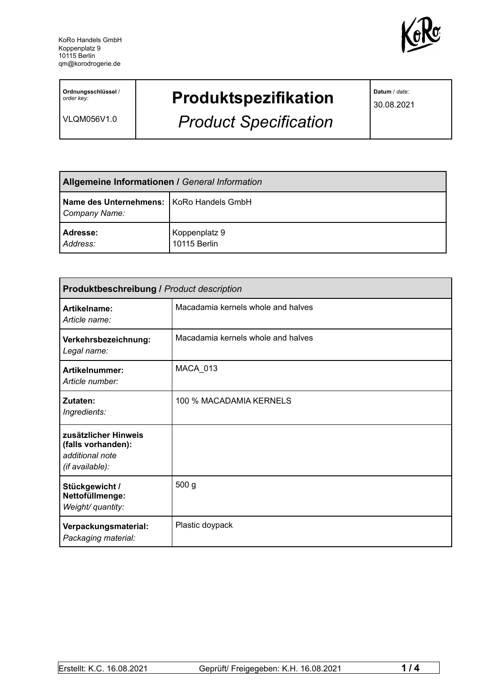

**Ordnungsschlüssel** / *order key:*

VLQM056V1.0

## **Produktspezifikation**

*Product Specification*

**Datum** / *date:*

30.08.2021

| <b>Allgemeine Informationen / General Information</b>       |                               |  |
|-------------------------------------------------------------|-------------------------------|--|
| Name des Unternehmens:   KoRo Handels GmbH<br>Company Name: |                               |  |
| <b>Adresse:</b><br>Address:                                 | Koppenplatz 9<br>10115 Berlin |  |

| <b>Produktbeschreibung / Product description</b>                                 |                                    |  |
|----------------------------------------------------------------------------------|------------------------------------|--|
| Artikelname:<br>Article name:                                                    | Macadamia kernels whole and halves |  |
| Verkehrsbezeichnung:<br>Legal name:                                              | Macadamia kernels whole and halves |  |
| Artikelnummer:<br>Article number:                                                | MACA_013                           |  |
| Zutaten:<br>Ingredients:                                                         | 100 % MACADAMIA KERNELS            |  |
| zusätzlicher Hinweis<br>(falls vorhanden):<br>additional note<br>(if available): |                                    |  |
| Stückgewicht /<br>Nettofüllmenge:<br>Weight/ quantity:                           | 500 g                              |  |
| Verpackungsmaterial:<br>Packaging material:                                      | Plastic doypack                    |  |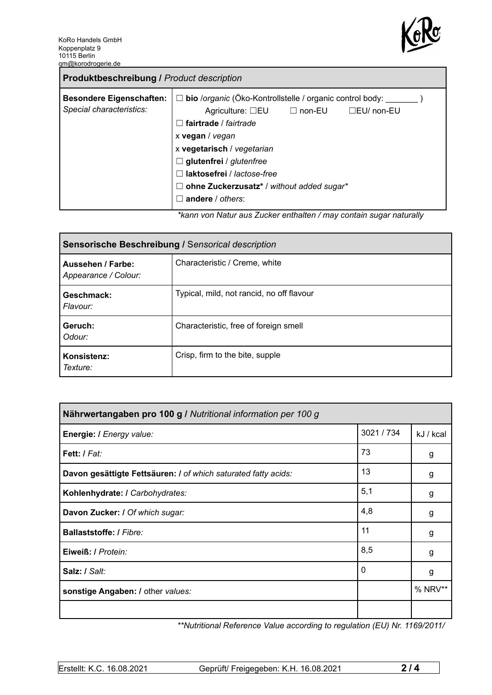

| <b>Produktbeschreibung / Product description</b>            |                                                                                                                                                                                                                                                                                                                                                    |  |  |
|-------------------------------------------------------------|----------------------------------------------------------------------------------------------------------------------------------------------------------------------------------------------------------------------------------------------------------------------------------------------------------------------------------------------------|--|--|
| <b>Besondere Eigenschaften:</b><br>Special characteristics: | $\Box$ bio /organic (Öko-Kontrollstelle / organic control body:<br>Agriculture: $\square$ EU $\square$ non-EU<br>$\Box$ EU/ non-EU<br>fairtrade / fairtrade<br>x vegan / vegan<br>x vegetarisch / vegetarian<br>$\Box$ glutenfrei / glutenfree<br>laktosefrei / lactose-free<br>ohne Zuckerzusatz* / without added sugar*<br>П<br>andere / others: |  |  |
|                                                             | *kann van Natur aug Zugker ontholten / may sentain sugar naturally                                                                                                                                                                                                                                                                                 |  |  |

*\*kann von Natur aus Zucker enthalten / may contain sugar naturally*

| Sensorische Beschreibung / Sensorical description |                                           |  |
|---------------------------------------------------|-------------------------------------------|--|
| Aussehen / Farbe:<br>Appearance / Colour:         | Characteristic / Creme, white             |  |
| Geschmack:<br>Flavour:                            | Typical, mild, not rancid, no off flavour |  |
| Geruch:<br>Odour:                                 | Characteristic, free of foreign smell     |  |
| Konsistenz:<br>Texture:                           | Crisp, firm to the bite, supple           |  |

| Nährwertangaben pro 100 g / Nutritional information per 100 g  |            |           |
|----------------------------------------------------------------|------------|-----------|
| Energie: I Energy value:                                       | 3021 / 734 | kJ / kcal |
| Fett: / Fat:                                                   | 73         | g         |
| Davon gesättigte Fettsäuren: I of which saturated fatty acids: | 13         | g         |
| Kohlenhydrate: I Carbohydrates:                                | 5,1        | g         |
| Davon Zucker: I Of which sugar:                                | 4,8        | g         |
| <b>Ballaststoffe: / Fibre:</b>                                 | 11         | g         |
| Eiweiß: / Protein:                                             | 8,5        | g         |
| Salz: / Salt:                                                  | 0          | g         |
| sonstige Angaben: / other values:                              |            | % NRV**   |
|                                                                |            |           |

*\*\*Nutritional Reference Value according to regulation (EU) Nr. 1169/2011/*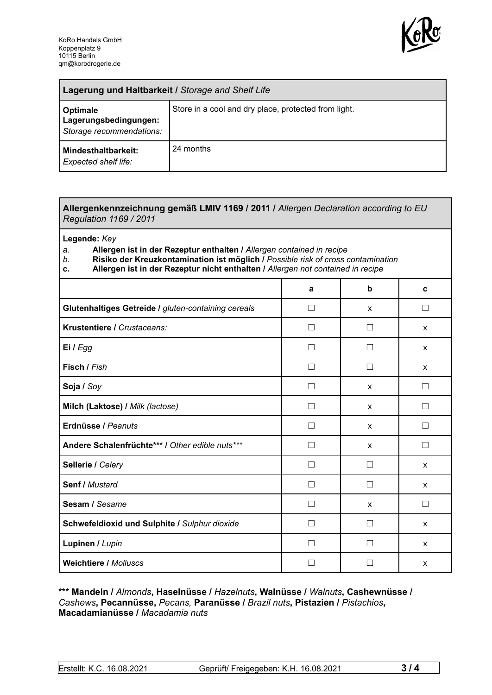

| Lagerung und Haltbarkeit / Storage and Shelf Life             |                                                      |  |
|---------------------------------------------------------------|------------------------------------------------------|--|
| Optimale<br>Lagerungsbedingungen:<br>Storage recommendations: | Store in a cool and dry place, protected from light. |  |
| Mindesthaltbarkeit:<br><b>Expected shelf life:</b>            | 24 months                                            |  |

## **Allergenkennzeichnung gemäß LMIV 1169 / 2011 /** *Allergen Declaration according to EU Regulation 1169 / 2011*

**Legende:** *Key*

*a.* **Allergen ist in der Rezeptur enthalten /** *Allergen contained in recipe*

- *b.* **Risiko der Kreuzkontamination ist möglich /** *Possible risk of cross contamination*
- **c. Allergen ist in der Rezeptur nicht enthalten /** *Allergen not contained in recipe*

|                                                     | a                 | b                 | C                 |
|-----------------------------------------------------|-------------------|-------------------|-------------------|
| Glutenhaltiges Getreide / gluten-containing cereals | П                 | X                 | П                 |
| Krustentiere / Crustaceans:                         | Ш                 | $\mathbf{I}$      | X                 |
| Ei / Egg                                            |                   |                   | X                 |
| Fisch / Fish                                        |                   |                   | X                 |
| Soja / Soy                                          |                   | X                 |                   |
| Milch (Laktose) / Milk (lactose)                    | $\vert \ \ \vert$ | $\mathsf{x}$      | $\vert \ \ \vert$ |
| Erdnüsse / Peanuts                                  | П                 | $\mathsf{x}$      | П                 |
| Andere Schalenfrüchte*** / Other edible nuts***     | П                 | X                 | П                 |
| Sellerie / Celery                                   | $\vert \ \ \vert$ | $\vert \ \ \vert$ | X                 |
| Senf / Mustard                                      | П                 | П                 | X                 |
| Sesam / Sesame                                      | $\vert \ \ \vert$ | X                 | $\Box$            |
| Schwefeldioxid und Sulphite / Sulphur dioxide       | Ш                 |                   | X                 |
| Lupinen / Lupin                                     |                   |                   | X                 |
| <b>Weichtiere / Molluscs</b>                        |                   |                   | X                 |

## **\*\*\* Mandeln /** *Almonds***, Haselnüsse /** *Hazelnuts***, Walnüsse /** *Walnuts***, Cashewnüsse /** *Cashews***, Pecannüsse,** *Pecans,* **Paranüsse /** *Brazil nuts***, Pistazien /** *Pistachios***, Macadamianüsse /** *Macadamia nuts*